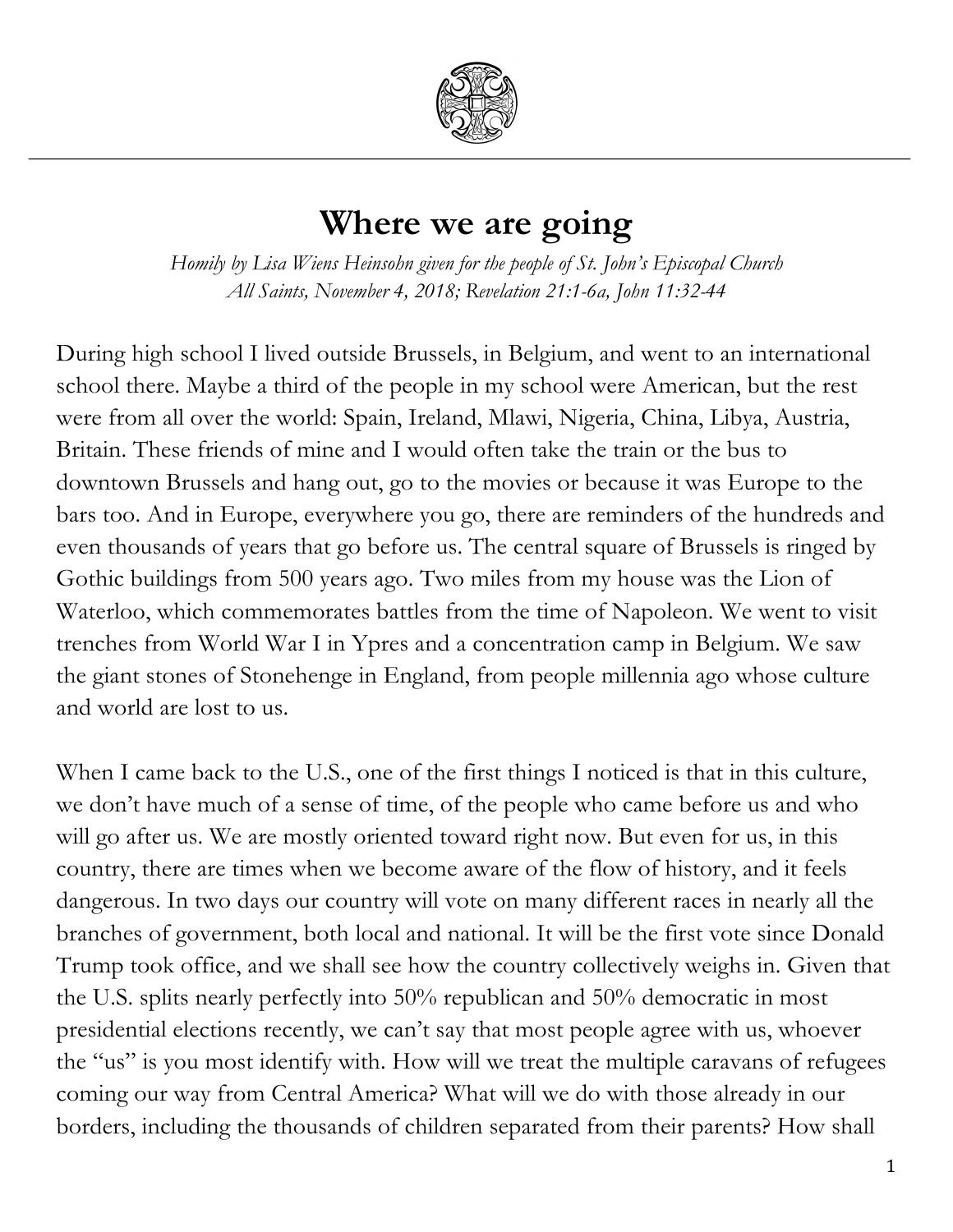

## **Where we are going**

*Homily by Lisa Wiens Heinsohn given for the people of St. John's Episcopal Church All Saints, November 4, 2018; Revelation 21:1-6a, John 11:32-44*

During high school I lived outside Brussels, in Belgium, and went to an international school there. Maybe a third of the people in my school were American, but the rest were from all over the world: Spain, Ireland, Mlawi, Nigeria, China, Libya, Austria, Britain. These friends of mine and I would often take the train or the bus to downtown Brussels and hang out, go to the movies or because it was Europe to the bars too. And in Europe, everywhere you go, there are reminders of the hundreds and even thousands of years that go before us. The central square of Brussels is ringed by Gothic buildings from 500 years ago. Two miles from my house was the Lion of Waterloo, which commemorates battles from the time of Napoleon. We went to visit trenches from World War I in Ypres and a concentration camp in Belgium. We saw the giant stones of Stonehenge in England, from people millennia ago whose culture and world are lost to us.

When I came back to the U.S., one of the first things I noticed is that in this culture, we don't have much of a sense of time, of the people who came before us and who will go after us. We are mostly oriented toward right now. But even for us, in this country, there are times when we become aware of the flow of history, and it feels dangerous. In two days our country will vote on many different races in nearly all the branches of government, both local and national. It will be the first vote since Donald Trump took office, and we shall see how the country collectively weighs in. Given that the U.S. splits nearly perfectly into 50% republican and 50% democratic in most presidential elections recently, we can't say that most people agree with us, whoever the "us" is you most identify with. How will we treat the multiple caravans of refugees coming our way from Central America? What will we do with those already in our borders, including the thousands of children separated from their parents? How shall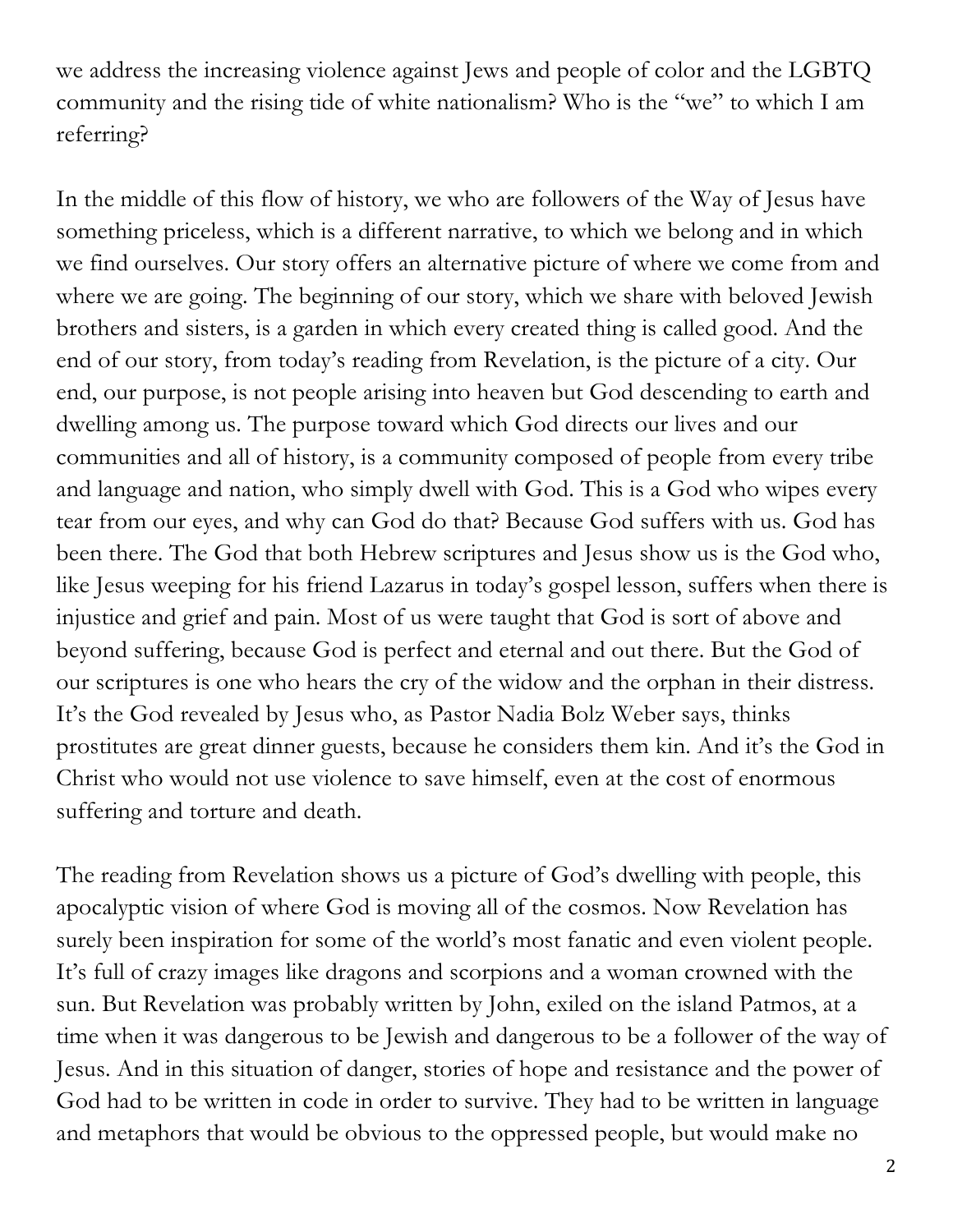we address the increasing violence against Jews and people of color and the LGBTQ community and the rising tide of white nationalism? Who is the "we" to which I am referring?

In the middle of this flow of history, we who are followers of the Way of Jesus have something priceless, which is a different narrative, to which we belong and in which we find ourselves. Our story offers an alternative picture of where we come from and where we are going. The beginning of our story, which we share with beloved Jewish brothers and sisters, is a garden in which every created thing is called good. And the end of our story, from today's reading from Revelation, is the picture of a city. Our end, our purpose, is not people arising into heaven but God descending to earth and dwelling among us. The purpose toward which God directs our lives and our communities and all of history, is a community composed of people from every tribe and language and nation, who simply dwell with God. This is a God who wipes every tear from our eyes, and why can God do that? Because God suffers with us. God has been there. The God that both Hebrew scriptures and Jesus show us is the God who, like Jesus weeping for his friend Lazarus in today's gospel lesson, suffers when there is injustice and grief and pain. Most of us were taught that God is sort of above and beyond suffering, because God is perfect and eternal and out there. But the God of our scriptures is one who hears the cry of the widow and the orphan in their distress. It's the God revealed by Jesus who, as Pastor Nadia Bolz Weber says, thinks prostitutes are great dinner guests, because he considers them kin. And it's the God in Christ who would not use violence to save himself, even at the cost of enormous suffering and torture and death.

The reading from Revelation shows us a picture of God's dwelling with people, this apocalyptic vision of where God is moving all of the cosmos. Now Revelation has surely been inspiration for some of the world's most fanatic and even violent people. It's full of crazy images like dragons and scorpions and a woman crowned with the sun. But Revelation was probably written by John, exiled on the island Patmos, at a time when it was dangerous to be Jewish and dangerous to be a follower of the way of Jesus. And in this situation of danger, stories of hope and resistance and the power of God had to be written in code in order to survive. They had to be written in language and metaphors that would be obvious to the oppressed people, but would make no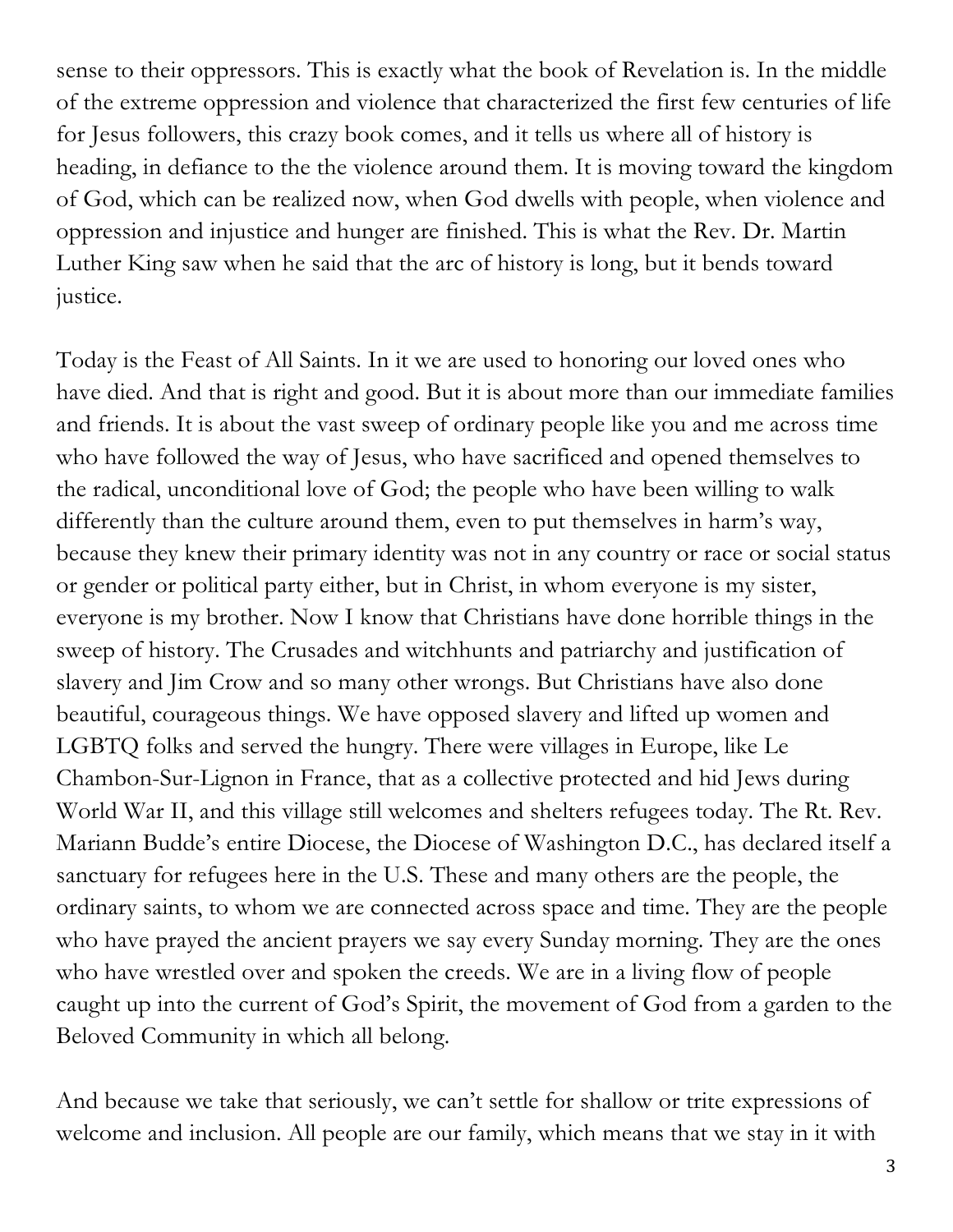sense to their oppressors. This is exactly what the book of Revelation is. In the middle of the extreme oppression and violence that characterized the first few centuries of life for Jesus followers, this crazy book comes, and it tells us where all of history is heading, in defiance to the the violence around them. It is moving toward the kingdom of God, which can be realized now, when God dwells with people, when violence and oppression and injustice and hunger are finished. This is what the Rev. Dr. Martin Luther King saw when he said that the arc of history is long, but it bends toward justice.

Today is the Feast of All Saints. In it we are used to honoring our loved ones who have died. And that is right and good. But it is about more than our immediate families and friends. It is about the vast sweep of ordinary people like you and me across time who have followed the way of Jesus, who have sacrificed and opened themselves to the radical, unconditional love of God; the people who have been willing to walk differently than the culture around them, even to put themselves in harm's way, because they knew their primary identity was not in any country or race or social status or gender or political party either, but in Christ, in whom everyone is my sister, everyone is my brother. Now I know that Christians have done horrible things in the sweep of history. The Crusades and witchhunts and patriarchy and justification of slavery and Jim Crow and so many other wrongs. But Christians have also done beautiful, courageous things. We have opposed slavery and lifted up women and LGBTQ folks and served the hungry. There were villages in Europe, like Le Chambon-Sur-Lignon in France, that as a collective protected and hid Jews during World War II, and this village still welcomes and shelters refugees today. The Rt. Rev. Mariann Budde's entire Diocese, the Diocese of Washington D.C., has declared itself a sanctuary for refugees here in the U.S. These and many others are the people, the ordinary saints, to whom we are connected across space and time. They are the people who have prayed the ancient prayers we say every Sunday morning. They are the ones who have wrestled over and spoken the creeds. We are in a living flow of people caught up into the current of God's Spirit, the movement of God from a garden to the Beloved Community in which all belong.

And because we take that seriously, we can't settle for shallow or trite expressions of welcome and inclusion. All people are our family, which means that we stay in it with